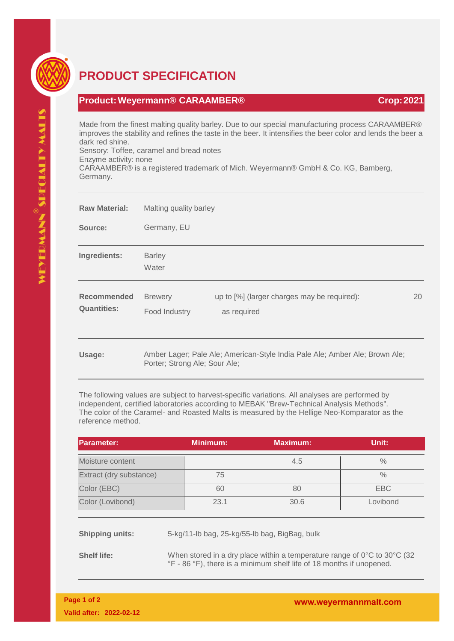

## **PRODUCT SPECIFICATION**

## **Product:Weyermann® CARAAMBER® Crop:2021**

Made from the finest malting quality barley. Due to our special manufacturing process CARAAMBER® improves the stability and refines the taste in the beer. It intensifies the beer color and lends the beer a dark red shine.

Sensory: Toffee, caramel and bread notes Enzyme activity: none

CARAAMBER® is a registered trademark of Mich. Weyermann® GmbH & Co. KG, Bamberg, Germany.

| <b>Raw Material:</b>                     | Malting quality barley          |                                                                             |    |  |
|------------------------------------------|---------------------------------|-----------------------------------------------------------------------------|----|--|
| Source:                                  | Germany, EU                     |                                                                             |    |  |
| Ingredients:                             | <b>Barley</b><br>Water          |                                                                             |    |  |
| <b>Recommended</b><br><b>Quantities:</b> | <b>Brewery</b><br>Food Industry | up to [%] (larger charges may be required):<br>as required                  | 20 |  |
| Usage:                                   | Porter; Strong Ale; Sour Ale;   | Amber Lager; Pale Ale; American-Style India Pale Ale; Amber Ale; Brown Ale; |    |  |

The following values are subject to harvest-specific variations. All analyses are performed by independent, certified laboratories according to MEBAK "Brew-Technical Analysis Methods". The color of the Caramel- and Roasted Malts is measured by the Hellige Neo-Komparator as the reference method.

| <b>Parameter:</b>       |                                                                                                                                                                                                                              | <b>Minimum:</b> | <b>Maximum:</b>                               | Unit:         |
|-------------------------|------------------------------------------------------------------------------------------------------------------------------------------------------------------------------------------------------------------------------|-----------------|-----------------------------------------------|---------------|
| Moisture content        |                                                                                                                                                                                                                              |                 | 4.5                                           | $\frac{0}{0}$ |
| Extract (dry substance) |                                                                                                                                                                                                                              | 75              |                                               | $\frac{0}{0}$ |
| Color (EBC)             |                                                                                                                                                                                                                              | 60              | 80                                            | <b>EBC</b>    |
| Color (Lovibond)        |                                                                                                                                                                                                                              | 23.1            | 30.6                                          | Lovibond      |
| <b>Shipping units:</b>  |                                                                                                                                                                                                                              |                 | 5-kg/11-lb bag, 25-kg/55-lb bag, BigBag, bulk |               |
| $-10$                   | $1111$ $11$ $11$ $111$ $111$ $111$ $111$ $111$ $111$ $111$ $111$ $111$ $111$ $111$ $111$ $111$ $111$ $111$ $111$ $111$ $111$ $111$ $111$ $111$ $111$ $111$ $111$ $111$ $111$ $111$ $111$ $111$ $111$ $111$ $111$ $111$ $111$ |                 |                                               |               |

**Shelf life:** When stored in a dry place within a temperature range of 0°C to 30°C (32) °F - 86 °F), there is a minimum shelf life of 18 months if unopened.

www.weyermannmalt.com